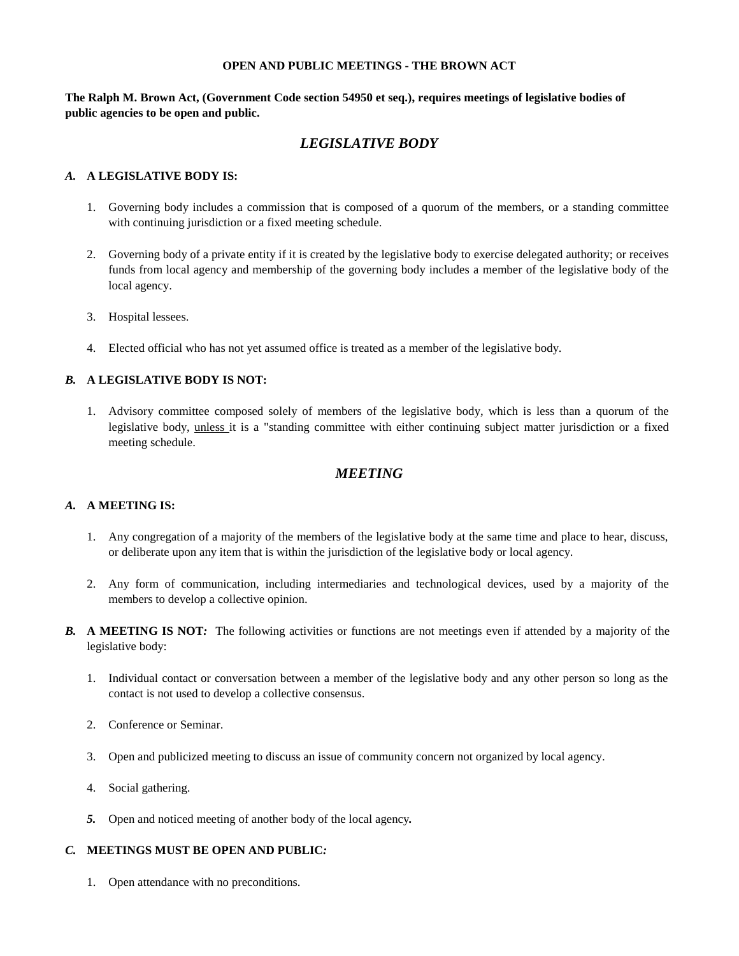#### **OPEN AND PUBLIC MEETINGS - THE BROWN ACT**

**The Ralph M. Brown Act, (Government Code section 54950 et seq.), requires meetings of legislative bodies of public agencies to be open and public.**

# *LEGISLATIVE BODY*

### *A.* **A LEGISLATIVE BODY IS:**

- 1. Governing body includes a commission that is composed of a quorum of the members, or a standing committee with continuing jurisdiction or a fixed meeting schedule.
- 2. Governing body of a private entity if it is created by the legislative body to exercise delegated authority; or receives funds from local agency and membership of the governing body includes a member of the legislative body of the local agency.
- 3. Hospital lessees.
- 4. Elected official who has not yet assumed office is treated as a member of the legislative body.

#### *B.* **A LEGISLATIVE BODY IS NOT:**

1. Advisory committee composed solely of members of the legislative body, which is less than a quorum of the legislative body, unless it is a "standing committee with either continuing subject matter jurisdiction or a fixed meeting schedule.

### *MEETING*

#### *A.* **A MEETING IS:**

- 1. Any congregation of a majority of the members of the legislative body at the same time and place to hear, discuss, or deliberate upon any item that is within the jurisdiction of the legislative body or local agency.
- 2. Any form of communication, including intermediaries and technological devices, used by a majority of the members to develop a collective opinion.
- *B.* **A MEETING IS NOT***:* The following activities or functions are not meetings even if attended by a majority of the legislative body:
	- 1. Individual contact or conversation between a member of the legislative body and any other person so long as the contact is not used to develop a collective consensus.
	- 2. Conference or Seminar.
	- 3. Open and publicized meeting to discuss an issue of community concern not organized by local agency.
	- 4. Social gathering.
	- *5.* Open and noticed meeting of another body of the local agency*.*

### *C.* **MEETINGS MUST BE OPEN AND PUBLIC***:*

1. Open attendance with no preconditions.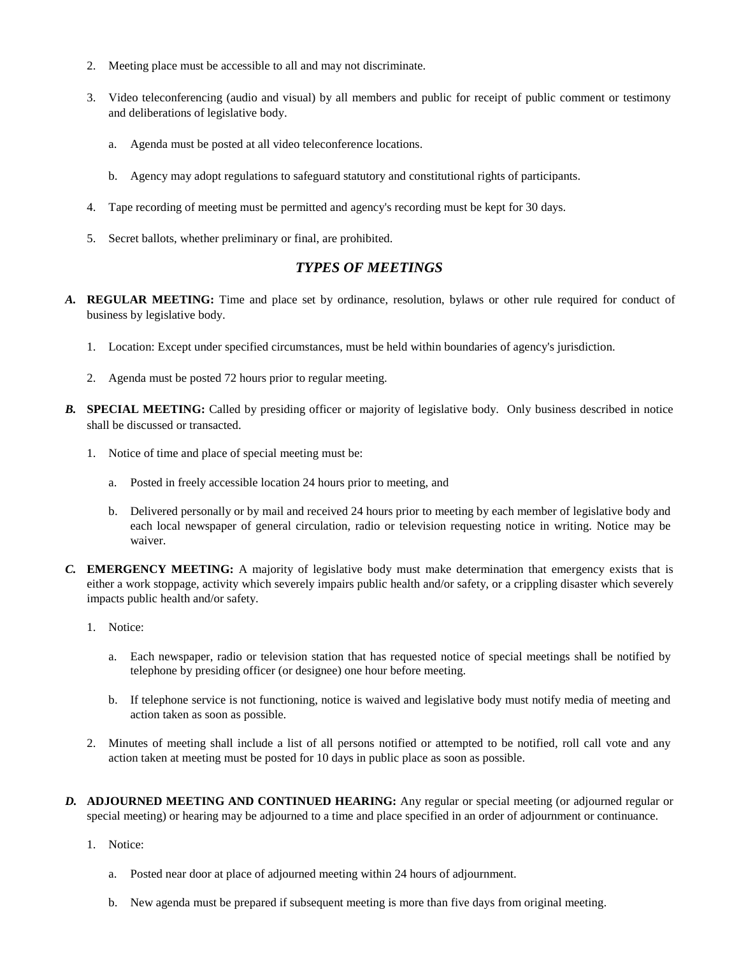- 2. Meeting place must be accessible to all and may not discriminate.
- 3. Video teleconferencing (audio and visual) by all members and public for receipt of public comment or testimony and deliberations of legislative body.
	- a. Agenda must be posted at all video teleconference locations.
	- b. Agency may adopt regulations to safeguard statutory and constitutional rights of participants.
- 4. Tape recording of meeting must be permitted and agency's recording must be kept for 30 days.
- 5. Secret ballots, whether preliminary or final, are prohibited.

## *TYPES OF MEETINGS*

- *A.* **REGULAR MEETING:** Time and place set by ordinance, resolution, bylaws or other rule required for conduct of business by legislative body.
	- 1. Location: Except under specified circumstances, must be held within boundaries of agency's jurisdiction.
	- 2. Agenda must be posted 72 hours prior to regular meeting.
- *B.* **SPECIAL MEETING:** Called by presiding officer or majority of legislative body. Only business described in notice shall be discussed or transacted.
	- 1. Notice of time and place of special meeting must be:
		- a. Posted in freely accessible location 24 hours prior to meeting, and
		- b. Delivered personally or by mail and received 24 hours prior to meeting by each member of legislative body and each local newspaper of general circulation, radio or television requesting notice in writing. Notice may be waiver.
- *C.* **EMERGENCY MEETING:** A majority of legislative body must make determination that emergency exists that is either a work stoppage, activity which severely impairs public health and/or safety, or a crippling disaster which severely impacts public health and/or safety.
	- 1. Notice:
		- a. Each newspaper, radio or television station that has requested notice of special meetings shall be notified by telephone by presiding officer (or designee) one hour before meeting.
		- b. If telephone service is not functioning, notice is waived and legislative body must notify media of meeting and action taken as soon as possible.
	- 2. Minutes of meeting shall include a list of all persons notified or attempted to be notified, roll call vote and any action taken at meeting must be posted for 10 days in public place as soon as possible.
- *D.* **ADJOURNED MEETING AND CONTINUED HEARING:** Any regular or special meeting (or adjourned regular or special meeting) or hearing may be adjourned to a time and place specified in an order of adjournment or continuance.
	- 1. Notice:
		- a. Posted near door at place of adjourned meeting within 24 hours of adjournment.
		- b. New agenda must be prepared if subsequent meeting is more than five days from original meeting.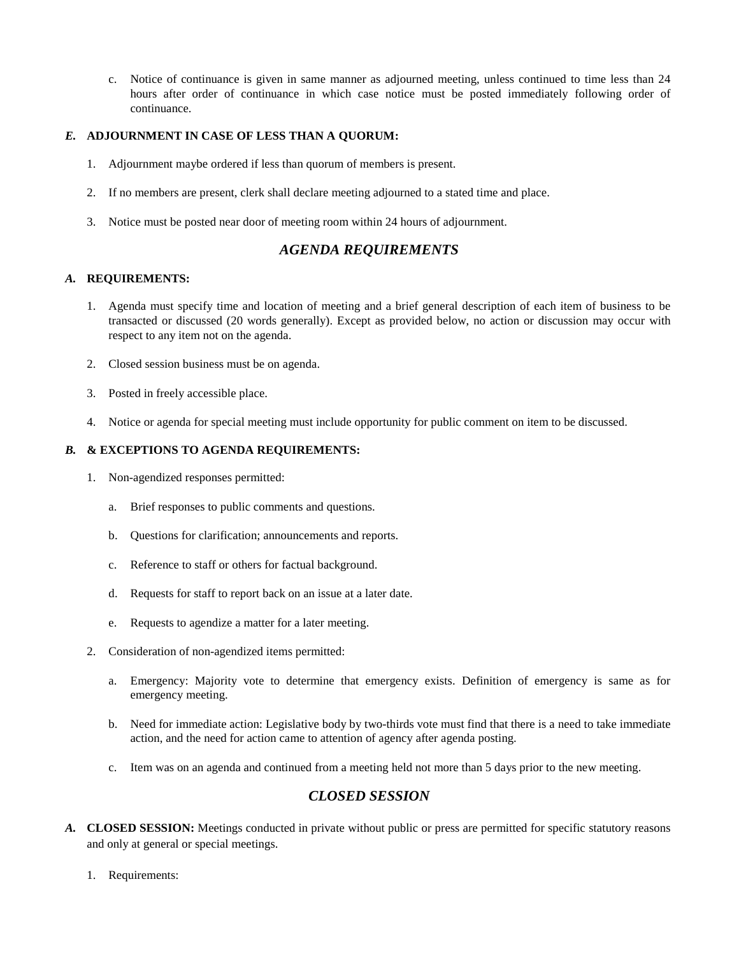c. Notice of continuance is given in same manner as adjourned meeting, unless continued to time less than 24 hours after order of continuance in which case notice must be posted immediately following order of continuance.

## *E.* **ADJOURNMENT IN CASE OF LESS THAN A QUORUM:**

- 1. Adjournment maybe ordered if less than quorum of members is present.
- 2. If no members are present, clerk shall declare meeting adjourned to a stated time and place.
- 3. Notice must be posted near door of meeting room within 24 hours of adjournment.

# *AGENDA REQUIREMENTS*

## *A.* **REQUIREMENTS:**

- 1. Agenda must specify time and location of meeting and a brief general description of each item of business to be transacted or discussed (20 words generally). Except as provided below, no action or discussion may occur with respect to any item not on the agenda.
- 2. Closed session business must be on agenda.
- 3. Posted in freely accessible place.
- 4. Notice or agenda for special meeting must include opportunity for public comment on item to be discussed.

### *B.* **& EXCEPTIONS TO AGENDA REQUIREMENTS:**

- 1. Non-agendized responses permitted:
	- a. Brief responses to public comments and questions.
	- b. Questions for clarification; announcements and reports.
	- c. Reference to staff or others for factual background.
	- d. Requests for staff to report back on an issue at a later date.
	- e. Requests to agendize a matter for a later meeting.
- 2. Consideration of non-agendized items permitted:
	- a. Emergency: Majority vote to determine that emergency exists. Definition of emergency is same as for emergency meeting.
	- b. Need for immediate action: Legislative body by two-thirds vote must find that there is a need to take immediate action, and the need for action came to attention of agency after agenda posting.
	- c. Item was on an agenda and continued from a meeting held not more than 5 days prior to the new meeting.

# *CLOSED SESSION*

- *A.* **CLOSED SESSION:** Meetings conducted in private without public or press are permitted for specific statutory reasons and only at general or special meetings.
	- 1. Requirements: